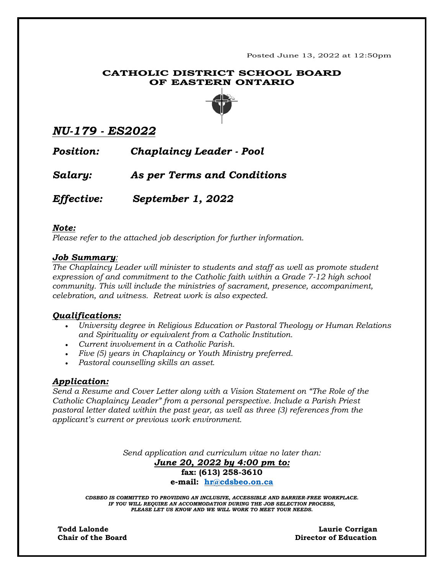Posted June 13, 2022 at 12:50pm

## **CATHOLIC DISTRICT SCHOOL BOARD OF EASTERN ONTARIO**



# *NU-179 - ES2022*

*Position: Chaplaincy Leader - Pool*

*Salary: As per Terms and Conditions*

*Effective:**September 1, 2022*

### *Note:*

*Please refer to the attached job description for further information.*

# *Job Summary:*

*The Chaplaincy Leader will minister to students and staff as well as promote student expression of and commitment to the Catholic faith within a Grade 7-12 high school community. This will include the ministries of sacrament, presence, accompaniment, celebration, and witness. Retreat work is also expected.* 

# *Qualifications:*

- *University degree in Religious Education or Pastoral Theology or Human Relations and Spirituality or equivalent from a Catholic Institution.*
- *Current involvement in a Catholic Parish.*
- *Five (5) years in Chaplaincy or Youth Ministry preferred.*
- *Pastoral counselling skills an asset.*

# *Application:*

*Send a Resume and Cover Letter along with a Vision Statement on "The Role of the Catholic Chaplaincy Leader" from a personal perspective. Include a Parish Priest pastoral letter dated within the past year, as well as three (3) references from the applicant's current or previous work environment.*

> *Send application and curriculum vitae no later than: June 20, 2022 by 4:00 pm to:* **fax: (613) 258-3610 e-mail: [hr@cdsbeo.on.ca](mailto:hr@cdsbeo.on.ca)**

*CDSBEO IS COMMITTED TO PROVIDING AN INCLUSIVE, ACCESSIBLE AND BARRIER-FREE WORKPLACE. IF YOU WILL REQUIRE AN ACCOMMODATION DURING THE JOB SELECTION PROCESS, PLEASE LET US KNOW AND WE WILL WORK TO MEET YOUR NEEDS.*

**Todd Lalonde Laurie Corrigan Chair of the Board Director of Education**